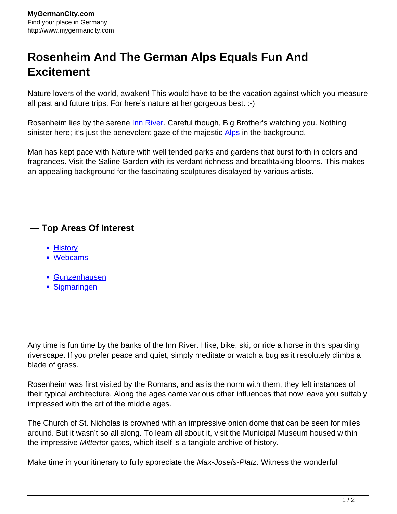## **Rosenheim And The German Alps Equals Fun And Excitement**

Nature lovers of the world, awaken! This would have to be the vacation against which you measure all past and future trips. For here's nature at her gorgeous best. :-)

Rosenheim lies by the serene <u>Inn River</u>. Careful though, Big Brother's watching you. Nothing sinister here; it's just the benevolent gaze of the majestic [Alps](http://www.mygermancity.com/german-alps) in the background.

Man has kept pace with Nature with well tended parks and gardens that burst forth in colors and fragrances. Visit the Saline Garden with its verdant richness and breathtaking blooms. This makes an appealing background for the fascinating sculptures displayed by various artists.

## **— Top Areas Of Interest**

- [History](http://www.mygermancity.com/leipzig-history)
- [Webcams](http://www.mygermancity.com/neustadt-holstein-webcams)
- [Gunzenhausen](http://www.mygermancity.com/gunzenhausen)
- [Sigmaringen](http://www.mygermancity.com/sigmaringen)

Any time is fun time by the banks of the Inn River. Hike, bike, ski, or ride a horse in this sparkling riverscape. If you prefer peace and quiet, simply meditate or watch a bug as it resolutely climbs a blade of grass.

Rosenheim was first visited by the Romans, and as is the norm with them, they left instances of their typical architecture. Along the ages came various other influences that now leave you suitably impressed with the art of the middle ages.

The Church of St. Nicholas is crowned with an impressive onion dome that can be seen for miles around. But it wasn't so all along. To learn all about it, visit the Municipal Museum housed within the impressive Mittertor gates, which itself is a tangible archive of history.

Make time in your itinerary to fully appreciate the *Max-Josefs-Platz*. Witness the wonderful